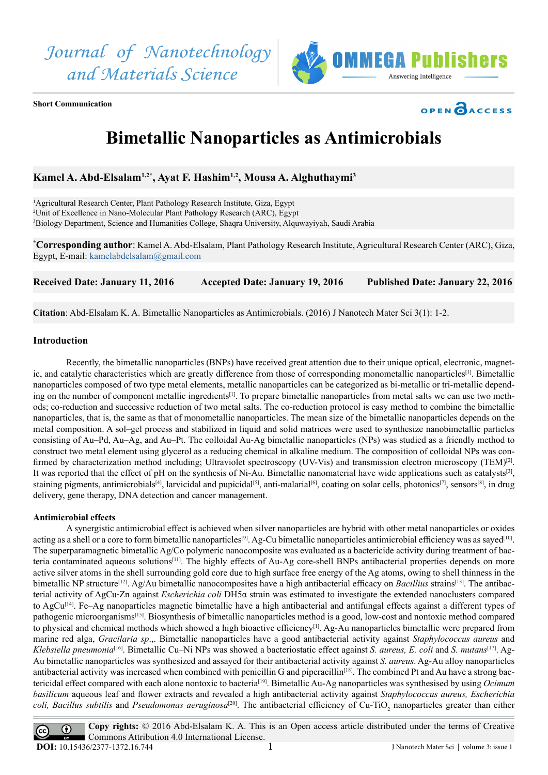*Journal of Nanotechnology and Materials Science*



**Short Communication**



## **Bimetallic Nanoparticles as Antimicrobials**

**Kamel A. Abd-Elsalam1,2\*, Ayat F. Hashim1,2, Mousa A. Alghuthaymi3**

<sup>1</sup>Agricultural Research Center, Plant Pathology Research Institute, Giza, Egypt 2 Unit of Excellence in Nano-Molecular Plant Pathology Research (ARC), Egypt 3 Biology Department, Science and Humanities College, Shaqra University, Alquwayiyah, Saudi Arabia

**\* Corresponding author**: Kamel A. Abd-Elsalam, Plant Pathology Research Institute, Agricultural Research Center (ARC), Giza, Egypt, E-mail: [kamelabdelsalam@gmail.com](mailto:kamelabdelsalam%40gmail.com?subject=)

Received Date: January 11, 2016 Accepted Date: January 19, 2016 Published Date: January 22, 2016

**Citation**: Abd-Elsalam K. A. Bimetallic Nanoparticles as Antimicrobials. (2016) J Nanotech Mater Sci 3(1): 1-2.

## **Introduction**

Recently, the bimetallic nanoparticles (BNPs) have received great attention due to their unique optical, electronic, magnetic, and catalytic characteristics which are greatly difference from those of corresponding monometallic nanoparticles[1]. Bimetallic nanoparticles composed of two type metal elements, metallic nanoparticles can be categorized as bi-metallic or tri-metallic depending on the number of component metallic ingredients<sup>[1]</sup>. To prepare bimetallic nanoparticles from metal salts we can use two methods; co-reduction and successive reduction of two metal salts. The co-reduction protocol is easy method to combine the bimetallic nanoparticles, that is, the same as that of monometallic nanoparticles. The mean size of the bimetallic nanoparticles depends on the metal composition. A sol–gel process and stabilized in liquid and solid matrices were used to synthesize nanobimetallic particles consisting of Au–Pd, Au–Ag, and Au–Pt. The colloidal Au-Ag bimetallic nanoparticles (NPs) was studied as a friendly method to construct two metal element using glycerol as a reducing chemical in alkaline medium. The composition of colloidal NPs was confirmed by characterization method including; Ultraviolet spectroscopy (UV-Vis) and transmission electron microscopy (TEM)[2]. It was reported that the effect of pH on the synthesis of Ni-Au. Bimetallic nanomaterial have wide applications such as catalysts[3], staining pigments, antimicrobials<sup>[4]</sup>, larvicidal and pupicidal<sup>[5]</sup>, anti-malarial<sup>[6]</sup>, coating on solar cells, photonics<sup>[7]</sup>, sensors<sup>[8]</sup>, in drug delivery, gene therapy, DNA detection and cancer management.

## **Antimicrobial effects**

A synergistic antimicrobial effect is achieved when silver nanoparticles are hybrid with other metal nanoparticles or oxides acting as a shell or a core to form bimetallic nanoparticles<sup>[9]</sup>. Ag-Cu bimetallic nanoparticles antimicrobial efficiency was as sayed<sup>[10]</sup>. The superparamagnetic bimetallic Ag/Co polymeric nanocomposite was evaluated as a bactericide activity during treatment of bacteria contaminated aqueous solutions[11]. The highly effects of Au-Ag core-shell BNPs antibacterial properties depends on more active silver atoms in the shell surrounding gold core due to high surface free energy of the Ag atoms, owing to shell thinness in the bimetallic NP structure<sup>[12]</sup>. Ag/Au bimetallic nanocomposites have a high antibacterial efficacy on *Bacillius* strains<sup>[13]</sup>. The antibacterial activity of AgCu‐Zn against *Escherichia coli* DH5α strain was estimated to investigate the extended nanoclusters compared to AgCu<sup>[14]</sup>. Fe–Ag nanoparticles magnetic bimetallic have a high antibacterial and antifungal effects against a different types of pathogenic microorganisms[15]. Biosynthesis of bimetallic nanoparticles method is a good, low-cost and nontoxic method compared to physical and chemical methods which showed a high bioactive efficiency<sup>[1]</sup>. Ag-Au nanoparticles bimetallic were prepared from marine red alga, *Gracilaria sp*.,. Bimetallic nanoparticles have a good antibacterial activity against *Staphylococcus aureus* and *Klebsiella pneumonia*[16]. Bimetallic Cu–Ni NPs was showed a bacteriostatic effect against *S. aureus, E. coli* and *S. mutans*[17]. Ag-Au bimetallic nanoparticles was synthesized and assayed for their antibacterial activity against *S. aureus*. Ag-Au alloy nanoparticles antibacterial activity was increased when combined with penicillin G and piperacillin<sup>[18]</sup>. The combined Pt and Au have a strong bactericidal effect compared with each alone nontoxic to bacteria[19]. Bimetallic Au-Ag nanoparticles was synthesised by using *Ocimum basilicum* aqueous leaf and flower extracts and revealed a high antibacterial activity against *Staphylococcus aureus, Escherichia*  coli, Bacillus subtilis and *Pseudomonas aeruginosa*<sup>[20]</sup>. The antibacterial efficiency of Cu-TiO<sub>2</sub> nanoparticles greater than either

**Copy rights:** © 2016 Abd-Elsalam K. A. This is an Open access article distributed under the terms of Creative  $\bigcirc$  $\overline{(\text{cc})}$ Commons Attribution 4.0 International License. **DOI:** [10.15436/2377-1372.16.7](http://www.dx.doi.org/10.15436/2377-1372.16.744)44 1 J Nanotech Mater Sci | volume 3: issue 1